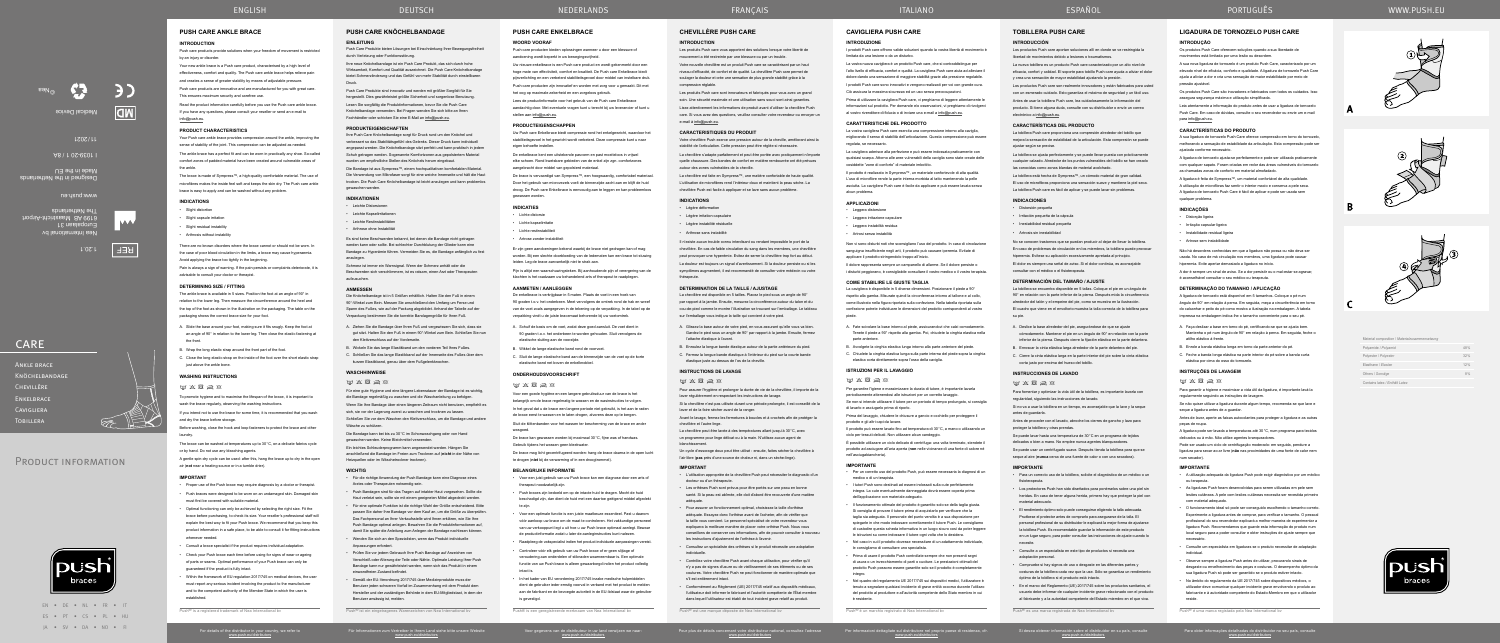EN • DE • NL • FR • IT ES • PT • CS • PL • HU JA • SV • DA • NO • FI

PRODUCT INFORMATION

### **CHEVILLÈRE PUSH CARE**

### **INTRODUCTION**

Les produits Push care vous apportent des solutions lorsque votre liberté de mouvement a été restreinte par une blessure ou par un trouble.

Votre nouvelle chevillère est un produit Push care se caractérisant par un haut niveau d'efficacité, de confort et de qualité. La chevillère Push care permet de soulager la douleur et crée une sensation de plus grande stabilité grâce à la compression réglabl

Les produits Push care sont innovateurs et fabriqués pour vous avec un grand soin. Une sécurité maximale et une utilisation sans souci sont ainsi garanties.

Lisez attentivement les informations de produit avant d'utiliser la chevillère Push care. Si vous avez des questions, veuillez consulter votre revendeur ou envoyer un e-mail à info@push.eu.

### **CARACTERISTIQUES DU PRODUIT**

Votre chevillère Push exerce une pression autour de la cheville, améliorant ainsi la stabilité de l'articulation. Cette pression peut être réglée si nécessaire.

La chevillère s'adapte parfaitement et peut être portée avec pratiquement n'importe quelle chaussure. Des bandes de confort en matière rembourrée ont été prévues autour des zones vulnérables de la cheville.

La chevillère est disponible en 5 tailles. Placez le pied sous un angle de 90° par rapport à la jambe. Ensuite, mesurez la circonférence autour du talon et du cou-de-pied comme le montre l'illustration se trouvant sur l'emballage. Le tableau sur l'emballage vous indique la taille qui convient à votre pied.

La chevillère est faite en Sympress™, une matière confortable de haute qualité. L'utilisation de microfibres rend l'intérieur doux et maintient la peau sèche. La chevillère Push est facile à appliquer et se lave sans aucun problème.

#### **INDICATIONS**

• Légère déformation

• Légère irritation capsulaire

### • Légère instabilité résiduelle

• Arthrose sans instabilité

Il n'existe aucun trouble connu interdisant ou rendant impossible le port de la chevillère. En cas de faible circulation du sang dans les membres, une chevillère peut provoquer une hyperémie. Evitez de serrer la chevillère trop fort au début.

La douleur est toujours un signal d'avertissement. Si la douleur persiste ou si les symptômes augmentent, il est recommandé de consulter votre médecin ou votre thérapeute.

#### **DETERMINATION DE LA TAILLE / AJUSTAGE**

A. Glissez la base autour de votre pied, en vous assurant qu'elle vous va bien. Gardez le pied sous un angle de 90° par rapport à la jambe. Ensuite, fermez l'attache élastique à l'avant.

B. Enroulez la longue bande élastique autour de la partie antérieure du pied. C. Fermez la longue bande élastique à l'intérieur du pied sur la courte bande élastique juste au dessus de l'os de la cheville.

#### **INSTRUCTIONS DE LAVAGE**

 $W$   $\times$   $\boxtimes$   $\cong$   $\otimes$ 

Pour assurer l'hygiène et prolonger la durée de vie de la chevillère, il importe de la laver régulièrement en respectant les instructions de lavage.

Si la chevillère n'est pas utilisée durant une période prolongée, il est conseillé de la laver et de la faire sécher avant de la ranger.

Avant le lavage, fermez les fermetures à boucles et à crochets afin de protéger la chevillère et l'autre linge.

La chevillère peut être lavée à des températures allant jusqu'à 30°C, avec un programme pour linge délicat ou à la main. N'utilisez aucun agent de blanchissement.

Un cycle d'essorage doux peut être utilisé : ensuite, faites sécher la chevillère à l'air libre (**pas** près d'une source de chaleur ni, dans un sèche-linge).

#### **IMPORTANT**

• L'utilisation appropriée de la chevillère Push peut nécessiter le diagnostic d'un docteur ou d'un thérapeute.

### **PUSH CARE KNÖCHELBANDAGE EINLEITUNG**

• Les orthèses Push sont prévus pour être portés sur une peau en bonne santé. Si la peau est abîmée, elle doit d'abord être recouverte d'une matière adéquate.

• Pour assurer un fonctionnement optimal, choisissez la taille d'orthèse adéquate. Essayez donc l'orthèse avant de l'acheter, afin de vérifier que la taille vous convient. Le personnel spécialisé de votre revendeur vous expliquera la meilleure manière de placer votre orthèse Push. Nous vous

Die Bandage ist aus Sympress™, einem hochqualitativen komfortablen Material. Die Verwendung von Mikrofaser sorgt für eine weiche Innenseite und hält die Haut trocken. Die Push Care Knöchelbandage ist leicht anzulegen und kann problemlos gewaschen werder

> conseillons de conserver ces informations, afin de pouvoir consulter à nouveau les instructions d'ajustement de l'orthèse à l'avenir. • Consultez un spécialiste des orthèses si le produit nécessite une adaptation

individuelle.

Es sind keine Beschwerden bekannt, bei denen die Bandage nicht getragen werden kann oder sollte. Bei schlechter Durchblutung der Glieder kann eine Bandage zu Hyperämie führen. Vermeiden Sie es, die Bandage anfänglich zu fest anzulegen

> • Contrôlez votre chevillère Push avant chaque utilisation, pour vérifier qu'il n'y a pas de signes d'usure ou de vieillissement de ses éléments ou de ses coutures. Votre chevillère Push ne peut fonctionner de manière optimale que s'il est entièrement intact.

• Conformément au Règlement (UE) 2017/745 relatif aux dispositifs médicaux, l'utilisateur doit informer le fabricant et l'autorité compétente de l'État membre dans lequel l'utilisateur est établi de tout incident grave relatif au produit.

Push® est une marque déposée de Nea International bv

- A. Ziehen Sie die Bandage über Ihren Fuß und vergewissern Sie sich, dass sie gut sitzt. Halten Sie den Fuß in einem 90°-Winkel zum Bein. Schließen Sie nun den Klettverschluss auf der Vorderseite.
- B. Wickeln Sie das lange Elastikband um den vorderen Teil Ihres Fußes.
- C. Schließen Sie das lange Elastikband auf der Innenseite des Fußes über dem kurzen Elastikband, genau über dem Fußgelenkknochen.

#### **WASCHHINWEIS**

### $W$   $X$   $\boxtimes$   $\boxtimes$   $\otimes$

Für eine gute Hygiene und eine längere Lebensdauer der Bandage ist es wichtig, die Bandage regelmäßig zu waschen und die Waschanleitung zu befolgen. Wenn Sie Ihre Bandage über einen längeren Zeitraum nicht benutzen, empfiehlt es sich, sie vor der Lagerung zuerst zu waschen und trocknen zu lassen.

Schließen Sie vor dem Waschen den Klettverschluss, um die Bandage und andere Wäsche zu schützen.

Die Bandage kann bei bis zu 30°C im Schonwaschgang oder von Hand gewaschen werden. Keine Bleichmittel verwenden.

Ein leichtes Schleuderprogramm kann angewendet werden. Hängen Sie anschließend die Bandage im Freien zum Trocknen auf (**nicht** in der Nähe von Heizquellen oder im Wäschetrockner trocknen).

#### **WICHTIG**

- Für die richtige Anwendung der Push Bandage kann eine Diagnose eines Arztes oder Therapeuten notwendig se
- Push Bandagen sind für das Tragen auf intakter Haut vorgesehen. Sollte die Haut verletzt sein, sollte sie mit einem geeigneten Mittel abgedeckt werden.
- Für eine optimale Funktion ist die richtige Wahl der Größe entscheidend. Bitte passen Sie daher Ihre Bandage vor dem Kauf an, um die Größe zu überprüfen. Das Fachpersonal an Ihrer Verkaufsstelle wird Ihnen erklären, wie Sie Ihre Push Bandage optimal anlegen. Bewahren Sie die Produktinformationen auf, damit Sie später die Anleitung zum Anlegen der Bandage nachlesen können.
- Wenden Sie sich an den Spezialisten, wenn das Produkt individuelle Anpassungen erfordert.
- Prüfen Sie vor jedem Gebrauch Ihre Push Bandage auf Anzeichen von Verschleiß oder Alterung der Teile oder Nähte. Optimale Leistung Ihrer Push Bandage kann nur gewährleistet werden, wenn sich das Produkt in einem einwandfreien Zustand befindet.
- Gemäß der EU-Verordnung 2017/745 über Medizinprodukte muss der Benutzer jeden schweren Vorfall im Zusammenhang mit dem Produkt dem Hersteller und der zuständigen Behörde in dem EU-Mitgliedstaat, in dem der Benutzer ansässig ist, melden.

• Compruebe si hay signos de uso o desgaste en las diferentes partes y costuras de la tobillera cada vez que la use. Sólo se garantiza un rendimiento

Ankle brace **KNÖCHELBANDAG** Chevillère **FNKELBRACE CAVIGLIERA TOBILLERA** 

Push® ist ein eingetragenes Warenzeichen von Nea International bv

Push Care Produkte bieten Lösungen bei Einschränkung Ihrer Bewegungsfreiheit durch Verletzung oder Funktionsstörung.

Your Push care ankle brace provides compression around the ankle, improving the sense of stability of the joint. This compression can be adjusted as needed

Ihre neue Knöchelbandage ist ein Push Care Produkt, das sich durch hohe Wirksamkeit, Komfort und Qualität auszeichnet. Die Push Care Knöchelbandage bietet Schmerzlinderung und das Gefühl von mehr Stabilität durch einstellbaren Druck.

Push Care Produkte sind innovativ und werden mit größter Sorgfalt für Sie hergestellt. Dies gewährleistet größte Sicherheit und sorgenlose Benutzung.

Lesen Sie sorgfältig die Produktinformationen, bevor Sie die Push Care Knöchelbandage verwenden. Bei Fragen wenden Sie sich bitte an Ihren Fachhändler oder schicken Sie eine E-Mail an info@push.eu.

### **PRODUKTEIGENSCHAFTEN**

- A. Slide the base around your foot, making sure it fits snugly. Keep the foot at an angle of 90° in relation to the lower leg. Then close the elastic fastening at the front.
- B. Wrap the long elastic strap around the front part of the foot.
- C. Close the long elastic strap on the inside of the foot over the short elastic strap just above the ankle bone

Ihre Push Care Knöchelbandage sorgt für Druck rund um den Knöchel und verbessert so das Stabilitätsgefühl des Gelenks. Dieser Druck kann individuell angepasst werden. Die Knöchelbandage sitzt perfekt und kann praktisch in jedem Schuh getragen werden. Sogenannte Komfortzonen aus gepolstertem Material wurden um empfindliche Stellen des Knöchels herum eingebaut.

To promote hygiene and to maximise the lifespan of the brace, it is important to wash the brace regularly, observing the washing instructions.

If you intend not to use the brace for some time, it is recommended that you wash and dry the brace before storage

#### **INDIKATIONEN**

- Leichte Distorsione
- Leichte Kapselirritationen
- Leichte Restinstabilitäten • Arthrose ohne Instabilität
- 

Schmerz ist immer ein Warnsignal. Wenn der Schmerz anhält oder die Beschwerden sich verschlimmern, ist es ratsam, einen Arzt oder Therapeuten aufzusuchen.

#### **ANMESSEN**

Die Knöchelbandage ist in 5 Größen erhältlich. Halten Sie den Fuß in einem 90°‑Winkel zum Bein. Messen Sie anschließend den Umfang um Ferse und Spann des Fußes, wie auf der Packung abgebildet. Anhand der Tabelle auf der Verpackung bestimmen Sie die korrekte Bandagengröße für Ihren Fuß.

# **TOBILLERA PUSH CARE**

### **INTRODUCCIÓN**

Los productos Push care aportan soluciones allí en donde se ve restringida la libertad de movimientos debido a lesiones o traumatismos.

La nueva tobillera es un producto Push care caracterizado por un alto nivel de eficacia, confort y calidad. El soporte para tobillo Push care ayuda a aliviar el dolor y crea una sensación de mayor estabilidad ajustando la presión.

- Lichte distorsie
- Lichte kapselirritatie
- Lichte restinstabiliteit
- Artrose zonder instabiliteit

Los productos Push care son realmente innovadores y están fabricados para usted con un esmerado cuidado. Esto garantiza el máximo de seguridad y un fácil uso.

Antes de usar la tobillera Push care, lea cuidadosamente la información del producto. Si tiene alguna duda, consulte con su distribuidor o envíe un correo electrónico a info@push.eu.

#### **CARACTERÍSTICAS DEL PRODUCTO**

La tobillera Push care proporciona una compresión alrededor del tobillo que mejora la sensación de estabilidad de la articulación. Esta compresión se puede ajustar según se precise.

 $m \times R \geqslant n$ Voor een goede hygiëne en een langere gebruiksduur van de brace is het

belangrijk om de brace regelmatig te wassen en de wasinstructies te volgen. In het geval dat u de brace een langere periode niet gebruikt, is het aan te raden de brace eerst te wassen en te laten drogen, alvorens deze op te bergen. Sluit de klittenbanden voor het wassen ter bescherming van de brace en ande

La tobillera se ajusta perfectamente y se puede llevar puesta con prácticamente cualquier calzado. Alrededor de los puntos vulnerables del tobillo se han creado las conocidas como zonas blandas de material acolchado.

La tobillera está hecha de Sympress™, un cómodo material de gran calidad. El uso de microfibras proporciona una sensación suave y mantiene la piel seca. La tobillera Push care es fácil de aplicar y se puede lavar sin problemas.

• Push braces zijn bedoeld om op de intacte huid te dragen. Mocht de huid beschadigd zijn, dan dient de huid met een daartoe geëigend middel afgedekte

### **INDICACIONES**

- Distorsión pequeña
- Irritación pequeña de la cápsula
- Inestabilidad residual pequeña
- Artrosis sin inestabilidad

No se conocen trastornos que se puedan producir al dejar de llevar la tobillera. En caso de problemas de circulación en los miembros, la tobillera puede provocar hiperemia. Evítese su aplicación excesivamente apretada al principio.

El dolor es siempre una señal de aviso. Si el dolor continúa, es aconsejable consultar con el médico o el fisioterapeuta.

#### **DETERMINACIÓN DEL TAMAÑO / AJUSTE**

I prodotti Push care offrono valide soluzioni quando la vostra libertà di movimento è limitata da una lesione o da un disturbo.

> La tobillera se encuentra disponible en 5 tallas. Coloque el pie en un ángulo de 90° en relación con la parte inferior de la pierna. Después mida la circunferencia alrededor del talón y el empeine del pie, como se muestra en la ilustración. El cuadro que viene en el envoltorio muestra la talla correcta de la tobillera para su pie.

Ciò assicura la massima sicurezza ed un uso senza preoccupazioni Prima di utilizzare la cavigliera Push care, vi preghiamo di leggere attentamente le

La vostra cavigliera Push care esercita una compressione intorno alla caviglia, migliorando il senso di stabilità dell'articolazione. Questa compressione può essere regolata, se necessario

- A. Deslice la base alrededor del pie, asegurándose de que se ajuste cómodamente. Mantener el pie en un ángulo de 90° en relación con la parte inferior de la pierna. Después cierre la fijación elástica en la parte delantera.
- B. Enroscar la cinta elástica larga alrededor de la parte delantera del pie. C. Cierre la cinta elástica larga en la parte interior del pie sobre la cinta elástica
- corta justo por encima del hueso del tobillo.

#### **INSTRUCCIONES DE LAVADO**

### $W$   $\times$   $\times$   $\times$

- **Leggera** distorsione
- Leggera irritazione capsular
- Leggera instabilità residua
- Artrosi senza instabilità

Para fomentar y optimizar la vida útil de la tobillera, es importante lavarla con regularidad, siguiendo las instrucciones de lavado. Si no va a usar la tobillera en un tiempo, es aconsejable que la lave y la seque

antes de guardarla.

Antes de proceder con el lavado, abroche los cierres de gancho y lazo para

proteger la tobillera y otras prendas.

Se puede lavar hasta una temperatura de 30°C en un programa de tejidos delicados o bien a mano. No emplee nunca agentes blanqueadores. Se puede usar un centrifugado suave. Después tienda la tobillera para que se seque al aire (**nunca** cerca de una fuente de calor o con una secadora).

Per garantire l'igiene e massimizzare la durata di tutore, è importante lavarla periodicamente attenendosi alle istruzioni per un corretto lavaggio

**IMPORTANTE**

• Para un correcto uso de la tobillera, solicite el diagnóstico de un médico o un

fisioterapeuta.

• Los protectores Push han sido diseñados para ponérselos sobre una piel sin heridas. En caso de tener alguna herida, primero hay que proteger la piel con

material adecuado.

- Per un corretto uso del prodotto Push, può essere necessaria la diagnosi di un medico o di un terapista.
- I tutori Push sono destinati ad essere indossati sulla cute perfettamente integra. La cute eventualmente danneggiata dovrà essere coperta prima dell'applicazione con materiale adeguato.
- Il funzionamento ottimale del prodotto è garantito solo se della taglia giusta. Si consiglia di provare il tutore prima di acquistarlo per verificare che la taglia sia adeguata. Il personale del punto vendita è a sua disposizione per spiegarle in che modo indossare correttamente il tutore Push. Le consigliano di custodire questa scheda informativa in un luogo sicuro così da poter legger le istruzioni su come indossare il tutore ogni volta che lo desidera.
- Nel caso in cui il prodotto dovesse necessitare di un adattamento individuale, e consigliamo di consultare uno specialista
- Prima di usare il prodotto Push controllate sempre che non presenti segni di usura o un invecchiamento di parti o cuciture. Le prestazioni ottimali del prodotto Push possono essere garantite solo se il prodotto è completamente integro.
- Nel quadro del regolamento UE 2017/745 sui dispositivi medici, l'utilizzatore è tenuto a segnalare qualsiasi incidente di grave entità occorso durante l'utilizzo del prodotto al produttore e all'autorità competente dello Stato membro in cui

• El rendimiento óptimo solo puede conseguirse eligiendo la talla adecuada. Pruébese el protector antes de comprarlo para asegurarse de la talla. El personal profesional de su distribuidor le explicará la mejor forma de ajustarse la tobillera Push. Es recomendable guardar la información de este producto en un lugar seguro, para poder consultar las instrucciones de ajuste cuando lo

necesite.

• Consulte a un especialista en este tipo de productos si necesita una

adaptación personal.

óptimo de la tobillera si el producto está intacto.

• En el marco del Reglamento (UE) 2017/745 sobre los productos sanitarios, el usuario debe informar de cualquier incidente grave relacionado con el producto al fabricante y a la autoridad competente del Estado miembro en el que viva.

Push® es una marca registrada de Nea International bv

## **PUSH CARE ANKLE BRACE**

### **INTRODUCTION**

Push care products provide solutions when your freedom of movement is restricted by an injury or disorder.

Your new ankle brace is a Push care product, characterised by a high level of effectiveness, comfort and quality. The Push care ankle brace helps relieve pain and creates a sense of greater stability by means of adjustable pressure.

> A ligadura de tornozelo ajusta-se perfeitamente e pode ser utilizada praticament com qualquer sapato. Foram criadas em redor das áreas vulneráveis do tornozelo

Push care products are innovative and are manufactured for you with great care. This ensures maximum security and carefree use.

Read the product information carefully before you use the Push care ankle brace.

If you have any questions, please consult your reseller or send an e-mail to info@push.eu.

### **PRODUCT CHARACTERISTICS**

The ankle brace has a perfect fit and can be worn in practically any shoe. So-called comfort zones of padded material have been created around vulnerable areas of the ankle.

> elástica por cima do osso do tornozelo. **INSTRUÇÕES DE LAVAGEM**  $\boxdot$   $\times$   $\boxtimes$   $\boxtimes$

regularmente seguindo as instruções de lavage

delicados ou à mão. Não utilize agentes branqueador

The brace is made of Sympress™, a high-quality comfortable material. The use of microfibres makes the inside feel soft and keeps the skin dry. The Push care ankle brace is easy to apply and can be washed without any problem.

**INDICATIONS**

- Slight distortion
- Slight capsule irritation
- Slight residual instabilit
- Arthrosis without instabilit

• As ligaduras Push foram desenvolvidas para serem utilizadas em pele sem lesões cutâneas. A pele com lesões cutâneas necessita ser revestida primeiro

There are no known disorders where the brace cannot or should not be worn. In the case of poor blood circulation in the limbs, a brace may cause hyperaemia Avoid applying the brace too tightly in the beginning.

Pain is always a sign of warning. If the pain persists or complaints deteriorate, it is advisable to consult your doctor or therapist.

> • Observe sempre a ligadura Push antes de utilizar, procurando sinais de desgaste ou envelhecimento das peças e costuras. O desempenho óptimo da sua ligadura Push só pode ser garantido se o produto estiver intacto. • No âmbito do regulamento da UE 2017/745 sobre dispositivos médicos, o utilizador deve comunicar qualquer incidente grave envolvendo o produto a fabricante e à autoridade competente do Estado-Membro em que o utilizado

### **DETERMINING SIZE / FITTING**

The ankle brace is available in 5 sizes. Position the foot at an angle of 90° in relation to the lower leg. Then measure the circumference around the heel and the top of the foot as shown in the illustration on the packaging. The table on the packaging shows the correct brace size for your foot.

### **WASHING INSTRUCTIONS**

### $M$   $X$   $\overline{\otimes}$   $\overline{\otimes}$   $\overline{\otimes}$

Before washing, close the hook and loop fasteners to protect the brace and other laundry.

The brace can be washed at temperatures up to 30°C, on a delicate fabrics cycle or by hand. Do not use any bleaching agents.

A gentle spin-dry cycle can be used: after this, hang the brace up to dry in the open air (**not** near a heating source or in a tumble drier).

#### **IMPORTANT**

- Proper use of the Push brace may require diagnosis by a doctor or therapist.
- Push braces were designed to be worn on an undamaged skin. Damaged skin must first be covered with suitable material.
- Optimal functioning can only be achieved by selecting the right size. Fit the brace before purchasing, to check its size. Your reseller's professional staff will explain the best way to fit your Push brace. We recommend that you keep this product information in a safe place, to be able to consult it for fitting instructions whenever needed
- Consult a brace specialist if the product requires individual adaptation.
- Check your Push brace each time before using for signs of wear or ageing of parts or seams. Optimal performance of your Push brace can only be guaranteed if the product is fully intact.
- Within the framework of EU regulation 2017/745 on medical devices, the user must report any serious incident involving the product to the manufacturer and to the competent authority of the Member State in which the user is established.

Push® is a registered trademark of Nea International bv

## **PUSH CARE ENKELBRACE**

## **WOORD VOORAF**

Push care producten bieden oplossingen wanneer u door een blessure of aandoening wordt beperkt in uw bewegingsvrijheid.

Uw nieuwe enkelbrace is een Push care product en wordt gekenmerkt door een hoge mate van effectiviteit, comfort en kwaliteit. De Push care Enkelbrace biedt pijnverlichting en een verbeterd stabiliteitsgevoel door middel van instelbare druk.

Push care producten zijn innovatief en worden met zorg voor u gemaakt. Dit met het oog op maximale zekerheid en een zorgeloos gebruik.

Lees de productinformatie voor het gebruik van de Push care Enkelbrace aandachtig door. Met eventuele vragen kunt u terecht bij uw leverancier of kunt u stellen aan info@push.eu.

### **PRODUCTEIGENSCHAPPEN**

Uw Push care Enkelbrace biedt compressie rond het enkelgewricht, waardoor het stabiliteitsgevoel in het gewricht wordt verbeterd. Deze compressie kunt u naar eigen behoefte instellen.

De enkelbrace kent een uitstekende pasvorm en past moeiteloos in vrijwel elke schoen. Rond kwetsbare gebieden van de enkel zijn zgn. comfortzones aangebracht door middel van gepolsterd materiaal.

De brace is vervaardigd van Sympress™, een hoogwaardig, comfortabel materiaal. Door het gebruik van microvezels voelt de binnenzijde zacht aan en blijft de huid droog. De Push care Enkelbrace is eenvoudig aan te leggen en kan probleemloos gewassen worden.

#### **INDICATIES**

Er zijn geen aandoeningen bekend waarbij de brace niet gedragen kan of mag worden. Bij een slechte doorbloeding van de ledematen kan een brace tot stuwing leiden. Leg de brace aanvankelijk niet te strak aan.

Pijn is altijd een waarschuwingsteken. Bij aanhoudende pijn of verergering van de klachten is het raadzaam uw behandelend arts of therapeut te raadplegen.

### **AANMETEN / AANLEGGEN**

De enkelbrace is verkrijgbaar in 5 maten. Plaats de voet in een hoek van 90 graden t.o.v. het onderbeen. Meet vervolgens de omtrek rond de hak en wreef van de voet zoals aangegeven in de tekening op de verpakking. In de tabel op de verpakking vindt u de juiste bracemaat behorende bij uw voetomtrek.

- A. Schuif de basis om de voet, zodat deze goed aansluit. De voet dient in 90 graden t.o.v. het onderbeen te worden gehouden. Sluit vervolgens de elastische sluiting aan de voorzijde.
- B. Wikkel de lange elastische band rond de voorvoet.
- C. Sluit de lange elastische band aan de binnenzijde van de voet op de korte elastische band net boven de enkelknobbel.

### **ONDERHOUDSVOORSCHRIFT**

wasgoed.

De brace kan gewassen worden bij maximaal 30°C, fijne was of handwas.

De brace mag licht gecentrifugeerd worden: hang de brace daarna in de open lucht

te drogen (**niet** bij de verwarming of in een droogtrommel).

**BELANGRIJKE INFORMATIE**

• Voor een juist gebruik van uw Push brace kan een diagnose door een arts of

therapeut noodzakelijk zijn.

te zijn.

• Voor een optimale functie is een juiste maatkeuze essentieel. Past u daarom vóór aankoop uw brace om de maat te controleren. Het vakkundige personeel van uw verkooppunt legt u uit hoe u uw Push brace optimaal aanlegt. Bewaar de productinformatie zodat u later de aanleginstructies kunt nalezen. • Raadpleeg de vakspecialist indien het product individuele aanpassingen vereist. • Controleer vóór elk gebruik van uw Push brace of er geen slijtage of veroudering aan onderdelen of stiknaden waarneembaar is. Een optimale functie van uw Push brace is alleen gewaarborgd indien het product volledig

In het kader van EU verordening 2017/745 inzake medische hulpmiddele dient de gebruiker ieder ernstig voorval in verband met het product te melden aan de fabrikant en de bevoegde autoriteit in de EU-lidstaat waar de gebruiker

intact is.

is gevestigd.

Push® is een geregistreerde merknaam van Nea International bv

ITALIANO ESPAÑOL

## **CAVIGLIERA PUSH CARE**

### **INTRODUZIONE**

La vostra nuova cavigliera è un prodotto Push care, che si contraddistingue per l'alto livello di efficacia, comfort e qualità. La cavigliera Push care aiuta ad alleviare dolore dando una sensazione di maggiore stabilità grazie alla pressione regolabile. I prodotti Push care sono innovativi e vengono realizzati per voi con grande cura.

informazioni sul prodotto. Per domande e/o osservazioni, vi preghiamo di rivolgervi al vostro rivenditore di fiducia o di inviare una e-mail a info@push.eu.

### **CARATTERISTICHE DEL PRODOTTO**

La cavigliera aderisce alla perfezione e può essere indossata praticamente con qualsiasi scarpa. Attorno alle aree vulnerabili della caviglia sono state create delle cosiddette "zone di conforto" di materiale imbottito.

Il prodotto è realizzato in Sympress™, un materiale confortevole di alta qualità. L'uso di microfibre rende la parte interna morbida al tatto mantenendo la pelle asciutta. La cavigliera Push care è facile da applicare e può essere lavata senza alcun problema.

### **APPLICAZIONI**

Non vi sono disturbi noti che sconsigliano l'uso del prodotto. In caso di circolazione sanguigna insufficiente negli arti, il prodotto può causare iperemia. Evitate di applicare il prodotto stringendolo troppo all'inizio.

Il dolore rappresenta sempre un campanello di allarme. Se il dolore persiste o i disturbi peggiorano, è consigliabile consultare il vostro medico o il vostro terapista.

### **COME STABILIRE LE GIUSTE TAGLIA**

La cavigliera è disponibile in 5 diverse dimensioni. Posizionare il piede a 90° rispetto alla gamba. Misurate quindi la circonferenza intorno al tallone e al collo, come illustrato nella figura riportata sulla confezione. Nella tabella riportata sulla confezione potrete individuare le dimensioni del prodotto corrispondenti al vostro piede.

- A. Fate scivolare la base intorno al piede, assicurandovi che calzi comodamente. Tenete il piede a 90° rispetto alla gamba. Poi, chiudete la cinghia elastica nella parte anteriore.
- B. Avvolgete la cinghia elastica lunga intorno alla parte anteriore del piede. C. Chiudete la cinghia elastica lunga sulla parte interna del piede sopra la cinghia
- elastica corta direttamente sopra l'osso della caviglia.

## **ISTRUZIONI PER IL LAVAGGIO**

 $W$   $\times$   $\boxtimes$   $\cong$   $\times$ 

Se non si intende utilizzare il tutore per un periodo di tempo prolungato, si consiglia di lavarlo e asciugarlo prima di riporlo.

Prima del lavaggio, chiudere le chiusure a gancio e occhiello per proteggere il prodotto e gli altri capi da lavare.

Il prodotto può essere lavato fino ad temperatura di 30°C, a mano o utilizzando un ciclo per tessuti delicati. Non utilizzare alcun candeggio.

È possibile utilizzare un ciclo delicato di centrifuga: una volta terminato, stendete il prodotto ad asciugare all'aria aperta (**non** nelle vicinanze di una fonte di calore né nell'asciugabiancheria).

#### **IMPORTANTE**

è residente.

Push® è un marchio registrato di Nea International bv







Material composition / Materialzusa Polyamide / *Polyamid* 48% Polyester / *Polyester* 32% **Elasthane / Elastan** Others / *Sonstige* 

**LIGADURA DE TORNOZELO PUSH CARE**

**INTRODUÇÃO**

Os produtos Push Care oferecem soluções quando a sua liberdade de

movimentos está limitada por uma lesão ou desordem.

assegura segurança máxima e utilização simplificada.

A sua nova ligadura de tornozelo é um produto Push Care, caracterizado por um elevado nível de eficácia, conforto e qualidade. A ligadura de tornozelo Push Care ajuda a aliviar a dor e cria uma sensação de maior estabilidade por meio de

pressão ajustável.

Os produtos Push Care são inovadores e fabricados com todos os cuidados. Isso

Leia atentamente a informação do produto antes de usar a ligadura de tornozelo Push Care. Em caso de dúvidas, consulte o seu revendedor ou envie um e-mail

para info@push.eu.

**CARACTERÍSTICAS DO PRODUTO**

as chamadas zonas de conforto em material almofada

A sua ligadura de tornozelo Push Care oferece compressão em torno do tornozelo, melhorando a sensação de estabilidade da articulação. Esta compressão pode ser

ajustada conforme necessário.

A ligadura é feita de Sympress™, um material confortável de alta qualidade. A utilização de microfibras faz sentir o interior macio e conserva a pele seca. A ligadura de tornozelo Push Care é fácil de aplicar e pode ser usada sem

qualquer problema. **INDICAÇÕES** • Distorção ligeira • Irritação capsular ligeira • Instabilidade residual ligeira • Artrose sem instabilidade

Não há desordens conhecidas em que a ligadura não possa ou não deva ser usada. No caso de má circulação nos membros, uma ligadura pode causar

hiperemia. Evite apertar demasiado a ligadura no início.

A dor é sempre um sinal de aviso. Se a dor persistir ou o mal-estar se agravar,

é aconselhável consultar o seu médico ou terapeuta. **DETERMINAÇÃO DO TAMANHO / APLICAÇÃO** A ligadura de tornozelo está disponível em 5 tamanhos. Coloque o pé num ângulo de 90° em relação à perna. Em seguida, meça a circunferência em torno do calcanhar e peito do pé como mostra a ilustração na embalagem. A tabela impressa na embalagem indica-lhe o tamanho conveniente para o seu pé. A. Faça deslizar a base em torno do pé, certificando-se que se ajusta bem. Mantenha o pé num ângulo de 90° em relação à perna. Em seguida, feche o

atilho elástico à frente.

B. Enrole a banda elástica longa em torno da parte anterior do pé. C. Feche a banda longa elástica na parte interior do pé sobre a banda curta

Para garantir a higiene e maximizar a vida útil da ligadura, é importante lavá-la

Se não quiser utilizar a ligadura durante algum tempo, recomenda-se que lave e

seque a ligadura antes de a guardar.

Antes de lavar, aperte as faixas autocolantes para proteger a ligadura e as outras

peças de roupa.

A ligadura pode ser lavada a temperaturas até 30°C, num programa para tecidos

Pode ser usado um ciclo de centrifugação moderado: em seguida, pendure a ligadura para secar ao ar livre (**não** nas proximidades de uma fonte de calor nem

num secador). **IMPORTANTE**

• A utilização adequada da ligadura Push pode exigir diagnóstico por um médico

ou terapeuta.

com material adequado.

• O funcionamento ideal só pode ser conseguido escolhendo o tamanho correto. Experimente a ligadura antes de comprar, para verificar o tamanho. O pessoal profissional do seu revendedor explicará a melhor maneira de experimentar a ligadura Push. Recomendamos que guarde esta informação do produto nun local seguro para a poder consultar e obter instruções de ajuste sempre que

necessário.

• Consulte um especialista em ligaduras se o produto necessitar de adaptação

individual.

reside.

Push® é uma marca registada pela Nea International bv

PORTUGUÊS

1.20.1

**REF** 

Nea International bv Europalaan 31

6199 AB Maastricht-Airport

The Netherlands

nə usnd www

Designed in the Netherlands

Made in the EU

I 1039-20 1 / 8A

2021 / 11

Medical Device

©Nea

**CARE** 

Contains latex / *Enthält Latex*



For details of the distributor in your country, we refer to www.push.eu/distributors

Für Informationen zum Vertreiber in Ihrem Land siehe bitte unsere Website www.push.eu/distributors

Voor gegevens van de distributeur in uw land verwijzen we naar: www.push.eu/distributors

Gebruik tijdens het wassen geen bleekwa

Pour plus de détails concernant votre distributeur national, consultez l'adresse www.push.eu/distributors

Per informazioni dettagliate sul distributore nel proprio paese di residenza, cfr. www.push.eu/distributors

Si desea obtener información sobre el distribuidor en su país, consulte www.push.eu/distributors

Para obter informações detalhadas do distribuidor no seu país, consulte www.push.eu/distributors